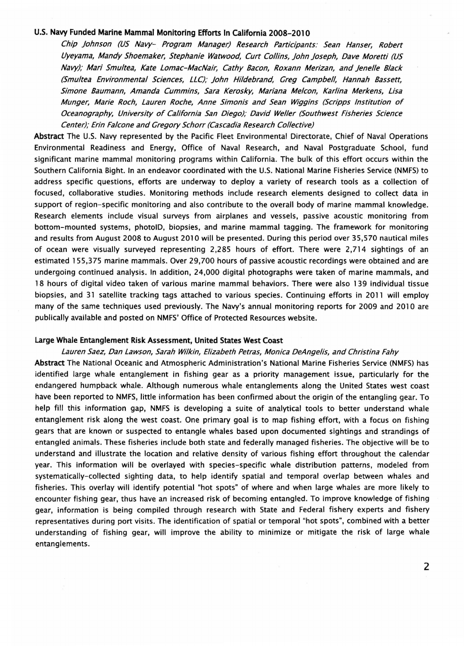## u.s. Navy Funded Marine Mammal Monitoring Efforts In California 2008-2010

Chip johnson (US Navy- Program Manager) Research Participants: Sean Hanser, Robert Uyeyama, Mandy Shoemaker, Stephanie Watwood, Curt Collins, john joseph, Dave Moretti (US Navy); Mari Smultea, Kate Lomac-MacNair, Cathy Bacon, Roxann Merizan, and jenelle Black (Smultea Environmental Sciences, LLC),' john Hildebrand, Greg Campbell, Hannah Bassett, Simone Baumann, Amanda Cummins, Sara Kerosky, Mariana Melcon, Karlina Merkens, Lisa Munger, Marie Roch, Lauren Roche, Anne Simonis and Sean Wiggins (Scripps Institution of Oceanography, University of California San Diego); David Weller (Southwest Fisheries Science Center); Erin Falcone and Gregory Schorr (Cascadia Research Collective)

Abstract The U.S. Navy represented by the Pacific Fleet Environmental Directorate, Chief of Naval Operations Environmental Readiness and Energy, Office of Naval Research, and Naval Postgraduate School, fund significant marine mammal monitoring programs within California. The bulk of this effort occurs within the Southern California Bight. In an endeavor coordinated with the U.S. National Marine Fisheries Service (NMFS) to address specific questions, efforts are underway to deploy a variety of research tools as a collection of focused, collaborative studies. Monitoring methods include research elements designed to collect data in support of region-specific monitoring and also contribute to the overall body of marine mammal knowledge. Research elements include visual surveys from airplanes and vessels, passive acoustic monitoring from bottom-mounted systems, photolD, biopsies, and marine mammal tagging. The framework for monitoring and results from August 2008 to August 2010 will be presented. During this period over 35,570 nautical miles of ocean were visually surveyed representing 2,285 hours of effort. There were 2,714 sightings of an estimated 155,375 marine mammals. Over 29,700 hours of passive acoustic recordings were obtained and are undergoing continued analysis. In addition, 24,000 digital photographs were taken of marine mammals, and 18 hours of digital video taken of various marine mammal behaviors. There were also 139 individual tissue biopsies, and 31 satellite tracking tags attached to various species. Continuing efforts in 2011 will employ many of the same techniques used previously. The Navy's annual monitoring reports for 2009 and 2010 are publically available and posted on NMFS' Office of Protected Resources website.

## Large Whale Entanglement Risk Assessment, United States West Coast

## Lauren Saez, Dan Lawson, Sarah Wilkin, Elizabeth Petras, Monica DeAngelis, and Christina Fahy

Abstract The National Oceanic and Atmospheric Administration's National Marine Fisheries Service (NMFS) has identified large whale entanglement in fishing gear as a priority management issue, particularly for the endangered humpback whale. Although numerous whale entanglements along the United States west coast have been reported to NMFS, little information has been confirmed about the origin of the entangling gear. To help fill this information gap, NMFS is developing a suite of analytical tools to better understand whale entanglement risk along the west coast. One primary goal is to map fishing effort, with a focus on fishing gears that are known or suspected to entangle whales based upon documented sightings and strandings of entangled animals. These fisheries include both state and federally managed fisheries. The objective will be to understand and illustrate the location and relative density of various fishing effort throughout the calendar year. This information will be overlayed with species-specific whale distribution patterns, modeled from systematically-collected sighting data, to help identify spatial and temporal overlap between whales and fisheries. This overlay will identify potential "hot spots" of where and when large whales are more likely to encounter fishing gear, thus have an increased risk of becoming entangled. To improve knowledge of fishing gear, information is being compiled through research with State and Federal fishery experts and fishery representatives during port visits. The identification of spatial or temporal "hot spots", combined with a better understanding of fishing gear, will improve the ability to minimize or mitigate the risk of large whale entanglements.